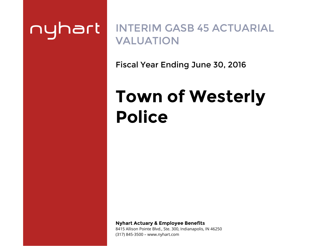# nyhart

# INTERIM GASB 45 ACTUARIAL VALUATION

Fiscal Year Ending June 30, 2016

# **Town of WesterlyPolice**

**Nyhart Actuary & Employee Benefits** 

8415 Allison Pointe Blvd., Ste. 300, Indianapolis, IN 46250 (317) 845-3500 – www.nyhart.com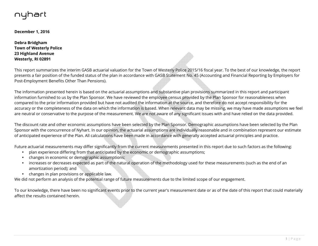# nyhart

**December 1, 2016** 

**Debra Bridgham Town of Westerly Police 23 Highland Avenue Westerly, RI 02891** 

This report summarizes the interim GASB actuarial valuation for the Town of Westerly Police 2015/16 fiscal year. To the best of our knowledge, the report presents a fair position of the funded status of the plan in accordance with GASB Statement No. 45 (Accounting and Financial Reporting by Employers for Post-Employment Benefits Other Than Pensions).

The information presented herein is based on the actuarial assumptions and substantive plan provisions summarized in this report and participant information furnished to us by the Plan Sponsor. We have reviewed the employee census provided by the Plan Sponsor for reasonableness when compared to the prior information provided but have not audited the information at the source, and therefore do not accept responsibility for the accuracy or the completeness of the data on which the information is based. When relevant data may be missing, we may have made assumptions we feel are neutral or conservative to the purpose of the measurement. We are not aware of any significant issues with and have relied on the data provided.

The discount rate and other economic assumptions have been selected by the Plan Sponsor. Demographic assumptions have been selected by the Plan Sponsor with the concurrence of Nyhart. In our opinion, the actuarial assumptions are individually reasonable and in combination represent our estimate of anticipated experience of the Plan. All calculations have been made in accordance with generally accepted actuarial principles and practice.

Future actuarial measurements may differ significantly from the current measurements presented in this report due to such factors as the following:

- <sup>p</sup>lan experience differing from that anticipated by the economic or demographic assumptions;
- changes in economic or demographic assumptions;
- increases or decreases expected as part of the natural operation of the methodology used for these measurements (such as the end of an amortization period); and
- changes in plan provisions or applicable law.

We did not perform an analysis of the potential range of future measurements due to the limited scope of our engagement.

To our knowledge, there have been no significant events prior to the current year's measurement date or as of the date of this report that could materially affect the results contained herein.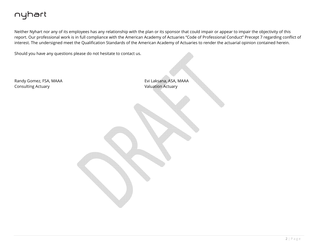# nyhart

Neither Nyhart nor any of its employees has any relationship with the plan or its sponsor that could impair or appear to impair the objectivity of this report. Our professional work is in full compliance with the American Academy of Actuaries "Code of Professional Conduct" Precept 7 regarding conflict ofinterest. The undersigned meet the Qualification Standards of the American Academy of Actuaries to render the actuarial opinion contained herein.

Should you have any questions please do not hesitate to contact us.

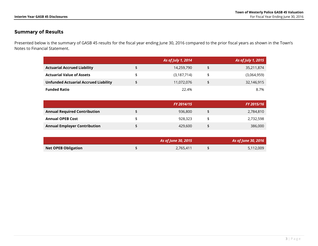# **Summary of Results**

Presented below is the summary of GASB 45 results for the fiscal year ending June 30, 2016 compared to the prior fiscal years as shown in the Town's Notes to Financial Statement.

|                                             | As of July 1, 2014 | As of July 1, 2015 |
|---------------------------------------------|--------------------|--------------------|
| <b>Actuarial Accrued Liability</b>          | 14,259,790         | 35,211,874         |
| <b>Actuarial Value of Assets</b>            | (3,187,714)        | (3,064,959)        |
| <b>Unfunded Actuarial Accrued Liability</b> | 11,072,076         | 32,146,915         |
| <b>Funded Ratio</b>                         | 22.4%              | 8.7%               |

|                                     | <b>FY 2014/15</b> | FY 2015/16 |
|-------------------------------------|-------------------|------------|
| <b>Annual Required Contribution</b> | 936,800           | 2,784,810  |
| <b>Annual OPEB Cost</b>             | 928,323           | 2,732,598  |
| <b>Annual Employer Contribution</b> | 429,600           | 386,000    |

|                            | As of June 30, 2015 | As of June 30, 2016 |
|----------------------------|---------------------|---------------------|
| <b>Net OPEB Obligation</b> | 2,765,411           | 5,112,009           |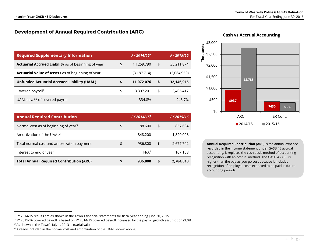# **Development of Annual Required Contribution (ARC)**

| <b>Required Supplementary Information</b>                  | FY 2014/15 <sup>1</sup> | FY 2015/16       |
|------------------------------------------------------------|-------------------------|------------------|
| <b>Actuarial Accrued Liability</b> as of beginning of year | \$<br>14,259,790        | \$<br>35,211,874 |
| <b>Actuarial Value of Assets</b> as of beginning of year   | (3,187,714)             | (3,064,959)      |
| <b>Unfunded Actuarial Accrued Liability (UAAL)</b>         | \$<br>11,072,076        | \$<br>32,146,915 |
| Covered payroll <sup>2</sup>                               | \$<br>3,307,201         | \$<br>3,406,417  |
| UAAL as a % of covered payroll                             | 334.8%                  | 943.7%           |

| <b>Annual Required Contribution</b>              |    | FY 2014/15 <sup>1</sup> | <b>FY 2015/16</b> |
|--------------------------------------------------|----|-------------------------|-------------------|
| Normal cost as of beginning of year <sup>3</sup> | \$ | 88,600                  | \$<br>857,694     |
| Amortization of the UAAL <sup>3</sup>            |    | 848,200                 | 1,820,008         |
| Total normal cost and amortization payment       | \$ | 936,800                 | \$<br>2,677,702   |
| Interest to end of year                          |    | N/A <sup>4</sup>        | 107,108           |
| <b>Total Annual Required Contribution (ARC)</b>  | S  | 936,800                 | \$<br>2,784,810   |



# **Cash vs Accrual Accounting**

**Annual Required Contribution (ARC)** is the annual expense recorded in the income statement under GASB 45 accrual accounting. It replaces the cash basis method of accounting recognition with an accrual method. The GASB 45 ARC is higher than the pay-as-you-go cost because it includes recognition of employer costs expected to be paid in future accounting periods.

<sup>1</sup> FY 2014/15 results are as shown in the Town's financial statements for fiscal year ending June 30, 2015.

 $^2$  FY 2015/16 covered payroll is based on FY 2014/15 covered payroll increased by the payroll growth assumption (3.0%).

<sup>&</sup>lt;sup>3</sup> As shown in the Town's July 1, 2013 actuarial valuation.

 $4$  Already included in the normal cost and amortization of the UAAL shown above.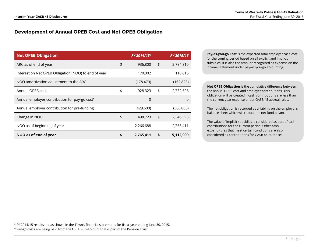# **Development of Annual OPEB Cost and Net OPEB Obligation**

| <b>Net OPEB Obligation</b>                                | FY 2014/15 <sup>5</sup> | FY 2015/16      |
|-----------------------------------------------------------|-------------------------|-----------------|
| ARC as of end of year                                     | \$<br>936,800           | \$<br>2,784,810 |
| Interest on Net OPEB Obligation (NOO) to end of year      | 170,002                 | 110,616         |
| NOO amortization adjustment to the ARC                    | (178, 479)              | (162, 828)      |
| Annual OPEB cost                                          | \$<br>928,323           | \$<br>2,732,598 |
| Annual employer contribution for pay-go cost <sup>6</sup> | $\Omega$                | 0               |
| Annual employer contribution for pre-funding              | (429,600)               | (386,000)       |
| Change in NOO                                             | \$<br>498,723           | \$<br>2,346,598 |
| NOO as of beginning of year                               | 2,266,688               | 2,765,411       |
| NOO as of end of year                                     | \$<br>2,765,411         | \$<br>5,112,009 |

**Pay-as-you-go Cost** is the expected total employer cash cost for the coming period based on all explicit and implicit subsidies. It is also the amount recognized as expense on the Income Statement under pay-as-you-go accounting.

**Net OPEB Obligation** is the cumulative difference between the annual OPEB cost and employer contributions. This obligation will be created if cash contributions are less than the current year expense under GASB 45 accrual rules.

The net obligation is recorded as a liability on the employer's balance sheet which will reduce the net fund balance.

The value of implicit subsidies is considered as part of cash contributions for the current period. Other cash expenditures that meet certain conditions are also considered as contributions for GASB 45 purposes.

<sup>5</sup> FY 2014/15 results are as shown in the Town's financial statements for fiscal year ending June 30, 2015.

<sup>&</sup>lt;sup>6</sup> Pay-go costs are being paid from the OPEB sub-account that is part of the Pension Trust.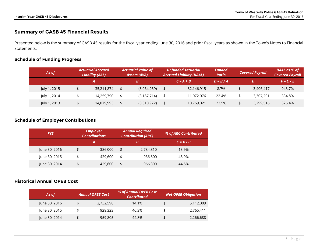# **Summary of GASB 45 Financial Results**

Presented below is the summary of GASB 45 results for the fiscal year ending June 30, 2016 and prior fiscal years as shown in the Town's Notes to Financial Statements.

# **Schedule of Funding Progress**

| As of        | <b>Actuarial Accrued</b><br><b>Liability (AAL)</b> |            | <b>Actuarial Value of</b><br><b>Assets (AVA)</b> | <b>Unfunded Actuarial</b><br><b>Accrued Liability (UAAL)</b> | <b>Funded</b><br><b>Ratio</b> | <b>Covered Payroll</b> | UAAL as % of<br><b>Covered Payroll</b> |
|--------------|----------------------------------------------------|------------|--------------------------------------------------|--------------------------------------------------------------|-------------------------------|------------------------|----------------------------------------|
|              |                                                    |            | В                                                | $C = A + B$                                                  | $D = B / A$                   |                        | $F = C / E$                            |
| July 1, 2015 |                                                    | 35,211,874 | (3,064,959)                                      | 32,146,915                                                   | 8.7%                          | 3,406,417              | 943.7%                                 |
| July 1, 2014 |                                                    | 14,259,790 | (3, 187, 714)                                    | 11.072.076                                                   | 22.4%                         | 3.307.201              | 334.8%                                 |
| July 1, 2013 |                                                    | 14,079,993 | (3,310,972)                                      | 10,769,021                                                   | 23.5%                         | 3,299,516              | 326.4%                                 |

# **Schedule of Employer Contributions**

| <b>FYE</b>    | <b>Employer</b><br><b>Contributions</b> |    | <b>Annual Required</b><br><b>Contribution (ARC)</b> | % of ARC Contributed |
|---------------|-----------------------------------------|----|-----------------------------------------------------|----------------------|
|               | Α                                       |    | B                                                   | $C = A / B$          |
| June 30, 2016 | \$<br>386,000                           | \$ | 2,784,810                                           | 13.9%                |
| June 30, 2015 | \$<br>429,600                           | \$ | 936,800                                             | 45.9%                |
| June 30, 2014 | \$<br>429,600                           | \$ | 966,300                                             | 44.5%                |

## **Historical Annual OPEB Cost**

| As of         | % of Annual OPEB Cost<br><b>Annual OPEB Cost</b><br><b>Contributed</b> |       | <b>Net OPEB Obligation</b> |
|---------------|------------------------------------------------------------------------|-------|----------------------------|
| June 30, 2016 | \$<br>2,732,598                                                        | 14.1% | \$<br>5,112,009            |
| June 30, 2015 | \$<br>928,323                                                          | 46.3% | 2,765,411                  |
| June 30, 2014 | \$<br>959,805                                                          | 44.8% | \$<br>2,266,688            |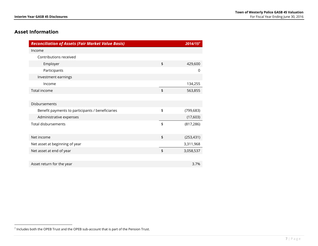# **Asset Information**

| <b>Reconciliation of Assets (Fair Market Value Basis)</b> |               | 2014/157   |
|-----------------------------------------------------------|---------------|------------|
| Income                                                    |               |            |
| Contributions received                                    |               |            |
| Employer                                                  | \$            | 429,600    |
| Participants                                              |               | 0          |
| Investment earnings                                       |               |            |
| Income                                                    |               | 134,255    |
| Total income                                              | \$            | 563,855    |
|                                                           |               |            |
| Disbursements                                             |               |            |
| Benefit payments to participants / beneficiaries          | \$            | (799, 683) |
| Administrative expenses                                   |               | (17,603)   |
| <b>Total disbursements</b>                                | $\frac{1}{2}$ | (817, 286) |
|                                                           |               |            |
| Net income                                                | \$            | (253, 431) |
| Net asset at beginning of year                            |               | 3,311,968  |
| Net asset at end of year                                  | $\frac{1}{2}$ | 3,058,537  |
|                                                           |               |            |
| Asset return for the year                                 |               | 3.7%       |

<sup>7</sup> Includes both the OPEB Trust and the OPEB sub-account that is part of the Pension Trust.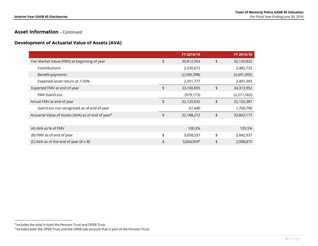# **Asset Information** – Continued

### **Development of Actuarial Value of Assets (AVA)**

|                                                                | FY 2014/15       | FY 2015/16       |
|----------------------------------------------------------------|------------------|------------------|
| Fair Market Value (FMV) at beginning of year                   | \$<br>30,812,954 | \$<br>32,120,832 |
| Contributions                                                  | 2,530,672        | 2,482,732        |
| Benefit payments                                               | (2,595,398)      | (2,691,005)      |
| Expected asset return at 7.50%                                 | 2,351,777        | 2,401,393        |
| Expected FMV at end of year                                    | \$<br>33,100,005 | \$<br>34,313,952 |
| <b>FMV Gain/Loss</b>                                           | (979, 173)       | (2,211,565)      |
| Actual FMV at end of year                                      | \$<br>32,120,832 | \$<br>32,102,387 |
| Gain/Loss not recognized as of end of year                     | 67,440           | 1,760,790        |
| Actuarial Value of Assets (AVA) as of end of year <sup>8</sup> | \$<br>32,188,272 | \$<br>33,863,177 |
|                                                                |                  |                  |
| (A) AVA as % of FMV                                            | 100.2%           | 105.5%           |
| (B) FMV as of end of year                                      | \$<br>3,058,537  | \$<br>2,842,937  |
| (C) AVA as of the end of year (A x B)                          | \$<br>3,064,9599 | \$<br>2,998,870  |

<sup>8</sup> Includes the total in both the Pension Trust and OPEB Trust.

 $9$  Includes both the OPEB Trust and the OPEB sub-account that is part of the Pension Trust.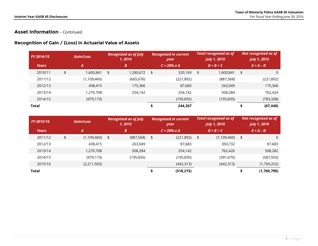# **Asset Information** – Continued

# **Recognition of Gain / (Loss) in Actuarial Value of Assets**

|              | <b>Gain/Loss</b><br><b>FY 2014/15</b> |    | <b>Recognized in current</b><br><b>Recognized as of July</b><br>1, 2014<br>year |    | <b>Total recognized as of</b><br><b>July 1, 2015</b> |    | Not recognized as of<br><b>July 1, 2015</b> |    |            |             |             |
|--------------|---------------------------------------|----|---------------------------------------------------------------------------------|----|------------------------------------------------------|----|---------------------------------------------|----|------------|-------------|-------------|
| <b>Years</b> | 'Al                                   |    |                                                                                 | B  | $C = 20\% \times A$                                  |    | $D = B + C$                                 |    |            | $E = A - D$ |             |
| 2010/11      |                                       | \$ | 1,600,841                                                                       | \$ | 1,280,672                                            | \$ | 320,169                                     | \$ | 1,600,841  | \$          | $\mathbf 0$ |
| 2011/12      |                                       |    | (1,109,460)                                                                     |    | (665, 676)                                           |    | (221, 892)                                  |    | (887, 568) |             | (221, 892)  |
| 2012/13      |                                       |    | 438,415                                                                         |    | 175,366                                              |    | 87,683                                      |    | 263,049    |             | 175,366     |
| 2013/14      |                                       |    | 1,270,708                                                                       |    | 254,142                                              |    | 254,142                                     |    | 508,284    |             | 762,424     |
| 2014/15      |                                       |    | (979, 173)                                                                      |    |                                                      |    | (195, 835)                                  |    | (195, 835) |             | (783, 338)  |
| Total        |                                       |    |                                                                                 |    |                                                      |    | 244,267                                     |    |            |             | (67, 440)   |

| FY 2015/16   | Gain/Loss         | <b>Recognized as of July</b><br>1, 2015 | <b>Recognized in current</b><br>year | <b>Total recognized as of</b><br><b>July 1, 2016</b> | Not recognized as of<br><b>July 1, 2016</b> |
|--------------|-------------------|-----------------------------------------|--------------------------------------|------------------------------------------------------|---------------------------------------------|
| <b>Years</b> | $\boldsymbol{A}$  | B                                       | $C = 20\% \times A$                  | $D = B + C$                                          | $E = A - D$                                 |
| 2011/12      | \$<br>(1,109,460) | \$<br>(887, 568)                        | \$<br>(221, 892)                     | \$<br>(1,109,460)                                    | \$<br>0                                     |
| 2012/13      | 438,415           | 263,049                                 | 87,683                               | 350,732                                              | 87,683                                      |
| 2013/14      | 1,270,708         | 508,284                                 | 254,142                              | 762,426                                              | 508,282                                     |
| 2014/15      | (979, 173)        | (195, 835)                              | (195, 835)                           | (391, 670)                                           | (587, 503)                                  |
| 2015/16      | (2,211,565)       |                                         | (442, 313)                           | (442, 313)                                           | (1,769,252)                                 |
| Total        |                   |                                         | \$<br>(518, 215)                     |                                                      | (1,760,790)                                 |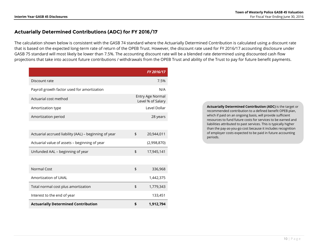# **Actuarially Determined Contributions (ADC) for FY 2016/17**

The calculation shown below is consistent with the GASB 74 standard where the Actuarially Determined Contribution is calculated using a discount rate that is based on the expected long-term rate of return of the OPEB Trust. However, the discount rate used for FY 2016/17 accounting disclosure under GASB 75 standard will most likely be lower than 7.5%. The accounting discount rate will be a blended rate determined using discounted cash flow projections that take into account future contributions / withdrawals from the OPEB Trust and ability of the Trust to pay for future benefit payments.

|                                                       | FY 2016/17                            |
|-------------------------------------------------------|---------------------------------------|
| Discount rate                                         | 7.5%                                  |
| Payroll growth factor used for amortization           | N/A                                   |
| Actuarial cost method                                 | Entry Age Normal<br>Level % of Salary |
| Amortization type                                     | Level Dollar                          |
| Amortization period                                   | 28 years                              |
|                                                       |                                       |
| Actuarial accrued liability (AAL) - beginning of year | \$<br>20,944,011                      |
| Actuarial value of assets - beginning of year         | (2,998,870)                           |
| Unfunded AAL - beginning of year                      | \$<br>17,945,141                      |
|                                                       |                                       |
| Normal Cost                                           | \$<br>336,968                         |
| Amortization of UAAL                                  | 1,442,375                             |
| Total normal cost plus amortization                   | \$<br>1,779,343                       |
| Interest to the end of year                           | 133,451                               |
| <b>Actuarially Determined Contribution</b>            | \$<br>1,912,794                       |

**Actuarially Determined Contribution (ADC)** is the target or recommended contribution to a defined benefit OPEB plan, which if paid on an ongoing basis, will provide sufficient resources to fund future costs for services to be earned and liabilities attributed to past services. This is typically higher than the pay-as-you-go cost because it includes recognition of employer costs expected to be paid in future accounting periods.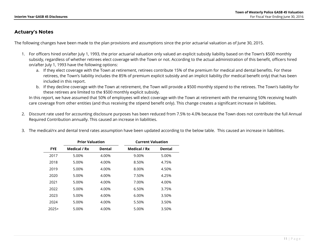# **Actuary's Notes**

The following changes have been made to the plan provisions and assumptions since the prior actuarial valuation as of June 30, 2015.

- 1. For officers hired on/after July 1, 1993, the prior actuarial valuation only valued an explicit subsidy liability based on the Town's \$500 monthly subsidy, regardless of whether retirees elect coverage with the Town or not. According to the actual administration of this benefit, officers hired on/after July 1, 1993 have the following options:
	- a. If they elect coverage with the Town at retirement, retirees contribute 15% of the premium for medical and dental benefits. For these retirees, the Town's liability includes the 85% of premium explicit subsidy and an implicit liability (for medical benefit only) that has been included in this report.
	- b. If they decline coverage with the Town at retirement, the Town will provide a \$500 monthly stipend to the retirees. The Town's liability for these retirees are limited to the \$500 monthly explicit subsidy.

In this report, we have assumed that 50% of employees will elect coverage with the Town at retirement with the remaining 50% receiving health care coverage from other entities (and thus receiving the stipend benefit only). This change creates a significant increase in liabilities.

- 2. Discount rate used for accounting disclosure purposes has been reduced from 7.5% to 4.0% because the Town does not contribute the full Annual Required Contribution annually. This caused an increase in liabilities.
- 3. The medical/rx and dental trend rates assumption have been updated according to the below table. This caused an increase in liabilities.

|            | <b>Prior Valuation</b> |               | <b>Current Valuation</b> |               |
|------------|------------------------|---------------|--------------------------|---------------|
| <b>FYE</b> | Medical / Rx           | <b>Dental</b> | Medical / Rx             | <b>Dental</b> |
| 2017       | 5.00%                  | 4.00%         | 9.00%                    | 5.00%         |
| 2018       | 5.00%                  | 4.00%         | 8.50%                    | 4.75%         |
| 2019       | 5.00%                  | 4.00%         | 8.00%                    | 4.50%         |
| 2020       | 5.00%                  | 4.00%         | 7.50%                    | 4.25%         |
| 2021       | 5.00%                  | 4.00%         | 7.00%                    | 4.00%         |
| 2022       | 5.00%                  | 4.00%         | 6.50%                    | 3.75%         |
| 2023       | 5.00%                  | 4.00%         | 6.00%                    | 3.50%         |
| 2024       | 5.00%                  | 4.00%         | 5.50%                    | 3.50%         |
| $2025+$    | 5.00%                  | 4.00%         | 5.00%                    | 3.50%         |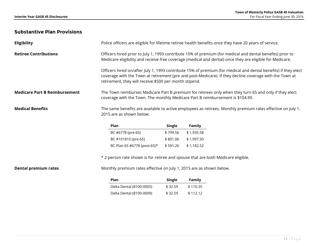# **Substantive Plan Provisions**

| <b>Eligibility</b>                   | Police officers are eligible for lifetime retiree health benefits once they have 20 years of service.                                                                                                                                                                               |               |               |  |  |  |
|--------------------------------------|-------------------------------------------------------------------------------------------------------------------------------------------------------------------------------------------------------------------------------------------------------------------------------------|---------------|---------------|--|--|--|
| <b>Retiree Contributions</b>         | Officers hired prior to July 1, 1993 contribute 10% of premium (for medical and dental benefits) prior to<br>Medicare eligibility and receive free coverage (medical and dental) once they are eligible for Medicare.                                                               |               |               |  |  |  |
|                                      | Officers hired on/after July 1, 1993 contribute 15% of premium (for medical and dental benefits) if they elect<br>coverage with the Town at retirement (pre and post-Medicare). If they decline coverage with the Town at<br>retirement, they will receive \$500 per month stipend. |               |               |  |  |  |
| <b>Medicare Part B Reimbursement</b> | The Town reimburses Medicare Part B premium for retirees only when they turn 65 and only if they elect<br>coverage with the Town. The monthly Medicare Part B reimbursement is \$104.90.                                                                                            |               |               |  |  |  |
| <b>Medical Benefits</b>              | The same benefits are available to active employees as retirees. Monthly premium rates effective on July 1,<br>2015 are as shown below.                                                                                                                                             |               |               |  |  |  |
|                                      | Plan                                                                                                                                                                                                                                                                                | <b>Single</b> | <b>Family</b> |  |  |  |
|                                      | BC #6778 (pre-65)                                                                                                                                                                                                                                                                   | \$799.56      | \$1,935.58    |  |  |  |
|                                      | BC #101810 (pre-65)                                                                                                                                                                                                                                                                 | \$801.06      | \$1,997.50    |  |  |  |
|                                      | BC Plan 65 #6778 (post-65)*                                                                                                                                                                                                                                                         | \$591.26      | \$1,182.52    |  |  |  |

\* 2-person rate shown is for retiree and spouse that are both Medicare eligible.

**Dental premium rates** Monthly premium rates effective on July 1, 2015 are as shown below.

| Plan                     | Single  | <b>Family</b> |
|--------------------------|---------|---------------|
| Delta Dental (8100-0005) | \$32.59 | \$110.35      |
| Delta Dental (8100-0009) | \$32.59 | \$112.12      |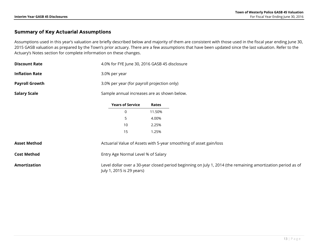# **Summary of Key Actuarial Assumptions**

Assumptions used in this year's valuation are briefly described below and majority of them are consistent with those used in the fiscal year ending June 30, 2015 GASB valuation as prepared by the Town's prior actuary. There are a few assumptions that have been updated since the last valuation. Refer to the Actuary's Notes section for complete information on these changes.

| <b>Discount Rate</b>  | 4.0% for FYE June 30, 2016 GASB 45 disclosure |                                                                    |                                                                                                              |  |  |  |
|-----------------------|-----------------------------------------------|--------------------------------------------------------------------|--------------------------------------------------------------------------------------------------------------|--|--|--|
| <b>Inflation Rate</b> | 3.0% per year                                 |                                                                    |                                                                                                              |  |  |  |
| <b>Payroll Growth</b> |                                               | 3.0% per year (for payroll projection only)                        |                                                                                                              |  |  |  |
| <b>Salary Scale</b>   | Sample annual increases are as shown below.   |                                                                    |                                                                                                              |  |  |  |
|                       | <b>Years of Service</b>                       | Rates                                                              |                                                                                                              |  |  |  |
|                       | 0                                             | 11.50%                                                             |                                                                                                              |  |  |  |
|                       | 5                                             | 4.00%                                                              |                                                                                                              |  |  |  |
|                       | 10                                            | 2.25%                                                              |                                                                                                              |  |  |  |
|                       | 15                                            | 1.25%                                                              |                                                                                                              |  |  |  |
| <b>Asset Method</b>   |                                               | Actuarial Value of Assets with 5-year smoothing of asset gain/loss |                                                                                                              |  |  |  |
| <b>Cost Method</b>    | Entry Age Normal Level % of Salary            |                                                                    |                                                                                                              |  |  |  |
| <b>Amortization</b>   | July 1, 2015 is 29 years)                     |                                                                    | Level dollar over a 30-year closed period beginning on July 1, 2014 (the remaining amortization period as of |  |  |  |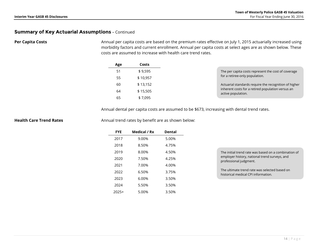## **Summary of Key Actuarial Assumptions** – Continued

**Per Capita Costs Annual per capita costs are based on the premium rates effective on July 1, 2015 actuarially increased using**  morbidity factors and current enrollment. Annual per capita costs at select ages are as shown below. These costs are assumed to increase with health care trend rates.

| Age | Costs    |
|-----|----------|
| 51  | \$9.595  |
| 55  | \$10,957 |
| 60  | \$13,152 |
| 64  | \$15,505 |
| 65  | \$7.095  |

Annual dental per capita costs are assumed to be \$673, increasing with dental trend rates.

**Health Care Trend Rates Annual trend rates by benefit are as shown below:** 

| <b>FYE</b> | Medical / Rx | <b>Dental</b> |  |
|------------|--------------|---------------|--|
| 2017       | 9.00%        | 5.00%         |  |
| 2018       | 8.50%        | 4.75%         |  |
| 2019       | 8.00%        | 4.50%         |  |
| 2020       | 7.50%        | 4.25%         |  |
| 2021       | 7.00%        | 4.00%         |  |
| 2022       | 6.50%        | 3.75%         |  |
| 2023       | 6.00%        | 3.50%         |  |
| 2024       | 5.50%        | 3.50%         |  |
| 2025+      | 5.00%        | 3.50%         |  |

| The initial trend rate was based on a combination of |
|------------------------------------------------------|
| employer history, national trend surveys, and        |
| professional judgment.                               |

The ultimate trend rate was selected based on historical medical CPI information.